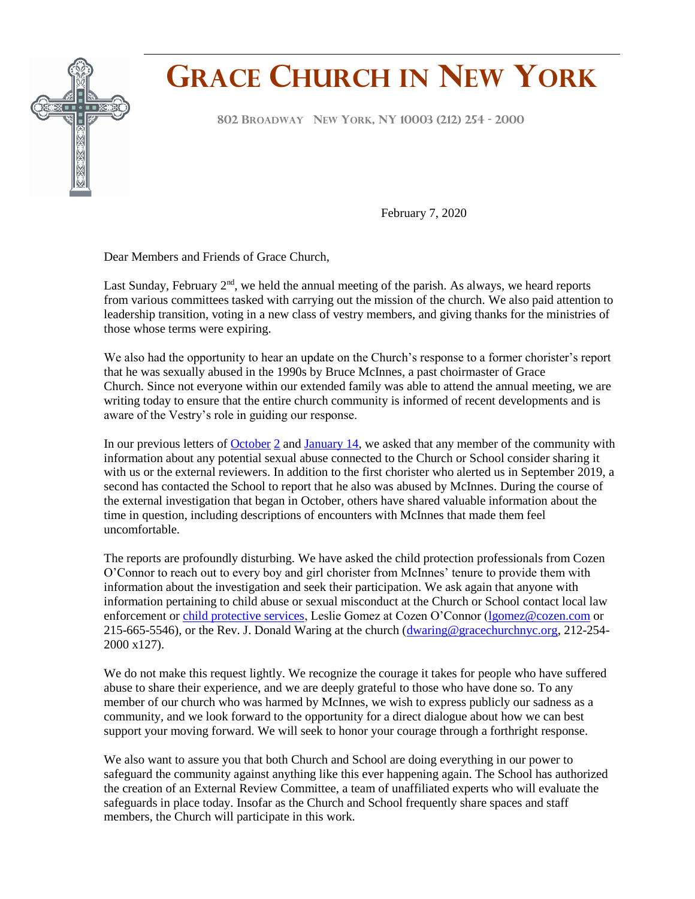

## **GRACE CHURCH IN NEW YORK**

**<sup>802</sup> <sup>B</sup>ROADWAY NEW YORK, NY <sup>10003</sup> (212) <sup>254</sup> - <sup>2000</sup> F**

February 7, 2020

Dear Members and Friends of Grace Church,

Last Sunday, February  $2<sup>nd</sup>$ , we held the annual meeting of the parish. As always, we heard reports from various committees tasked with carrying out the mission of the church. We also paid attention to leadership transition, voting in a new class of vestry members, and giving thanks for the ministries of those whose terms were expiring.

We also had the opportunity to hear an update on the Church's response to a former chorister's report that he was sexually abused in the 1990s by Bruce McInnes, a past choirmaster of Grace Church. Since not everyone within our extended family was able to attend the annual meeting, we are writing today to ensure that the entire church community is informed of recent developments and is aware of the Vestry's role in guiding our response.

In our previous letters of [October](https://conta.cc/2mU1Dop) 2 and [January 14,](https://conta.cc/30jJFLv) we asked that any member of the community with information about any potential sexual abuse connected to the Church or School consider sharing it with us or the external reviewers. In addition to the first chorister who alerted us in September 2019, a second has contacted the School to report that he also was abused by McInnes. During the course of the external investigation that began in October, others have shared valuable information about the time in question, including descriptions of encounters with McInnes that made them feel uncomfortable.

The reports are profoundly disturbing. We have asked the child protection professionals from Cozen O'Connor to reach out to every boy and girl chorister from McInnes' tenure to provide them with information about the investigation and seek their participation. We ask again that anyone with information pertaining to child abuse or sexual misconduct at the Church or School contact local law enforcement or [child protective services,](https://ocfs.ny.gov/main/contact/) Leslie Gomez at Cozen O'Connor [\(lgomez@cozen.com](mailto:lgomez@cozen.com) or 215-665-5546), or the Rev. J. Donald Waring at the church [\(dwaring@gracechurchnyc.org,](mailto:dwaring@gracechurchnyc.org) 212-254- 2000 x127).

We do not make this request lightly. We recognize the courage it takes for people who have suffered abuse to share their experience, and we are deeply grateful to those who have done so. To any member of our church who was harmed by McInnes, we wish to express publicly our sadness as a community, and we look forward to the opportunity for a direct dialogue about how we can best support your moving forward. We will seek to honor your courage through a forthright response.

We also want to assure you that both Church and School are doing everything in our power to safeguard the community against anything like this ever happening again. The School has authorized the creation of an External Review Committee, a team of unaffiliated experts who will evaluate the safeguards in place today. Insofar as the Church and School frequently share spaces and staff members, the Church will participate in this work.